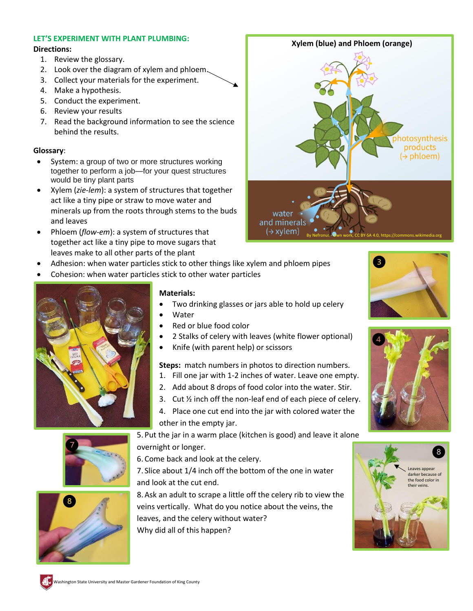# **LET'S EXPERIMENT WITH PLANT PLUMBING:**

### **Directions:**

- 1. Review the glossary.
- 2. Look over the diagram of xylem and phloem.
- 3. Collect your materials for the experiment.
- 4. Make a hypothesis.
- 5. Conduct the experiment.
- 6. Review your results
- 7. Read the background information to see the science behind the results.

## **Glossary**:

- System: a group of two or more structures working together to perform a job—for your quest structures would be tiny plant parts
- Xylem (*zie-lem*): a system of structures that together act like a tiny pipe or straw to move water and minerals up from the roots through stems to the buds and leaves
- Phloem (*flow-em*): a system of structures that together act like a tiny pipe to move sugars that leaves make to all other parts of the plant
- Adhesion: when water particles stick to other things like xylem and phloem pipes
- Cohesion: when water particles stick to other water particles



### **Materials:**

- Two drinking glasses or jars able to hold up celery
	- **Water**
- Red or blue food color
- 2 Stalks of celery with leaves (white flower optional)
- Knife (with parent help) or scissors

**Steps:** match numbers in photos to direction numbers.

- 1. Fill one jar with 1-2 inches of water. Leave one empty.
- 2. Add about 8 drops of food color into the water. Stir.
- 3. Cut ½ inch off the non-leaf end of each piece of celery.
- 4. Place one cut end into the jar with colored water the other in the empty jar.

5. Put the jar in a warm place (kitchen is good) and leave it alone overnight or longer.

6. Come back and look at the celery.

7. Slice about 1/4 inch off the bottom of the one in water and look at the cut end.

8.Ask an adult to scrape a little off the celery rib to view the veins vertically. What do you notice about the veins, the leaves, and the celery without water? Why did all of this happen?